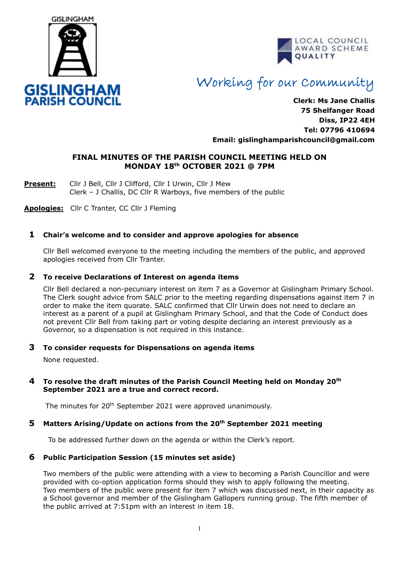



# Working for our Community

**Clerk: Ms Jane Challis 75 Shelfanger Road Diss, IP22 4EH Tel: 07796 410694 Email: [gislinghamparishcouncil@gmail.com](mailto:gislinghamparishcouncil@gmail.com)**

# **FINAL MINUTES OF THE PARISH COUNCIL MEETING HELD ON MONDAY 18th OCTOBER 2021 @ 7PM**

**Present:** Cllr J Bell, Cllr J Clifford, Cllr I Urwin, Cllr J Mew Clerk – J Challis, DC Cllr R Warboys, five members of the public

**Apologies:** Cllr C Tranter, CC Cllr J Fleming

# **1 Chair's welcome and to consider and approve apologies for absence**

Cllr Bell welcomed everyone to the meeting including the members of the public, and approved apologies received from Cllr Tranter.

## **2 To receive Declarations of Interest on agenda items**

 Cllr Bell declared a non-pecuniary interest on item 7 as a Governor at Gislingham Primary School. The Clerk sought advice from SALC prior to the meeting regarding dispensations against item 7 in order to make the item quorate. SALC confirmed that Cllr Urwin does not need to declare an interest as a parent of a pupil at Gislingham Primary School, and that the Code of Conduct does not prevent Cllr Bell from taking part or voting despite declaring an interest previously as a Governor, so a dispensation is not required in this instance.

# **3 To consider requests for Dispensations on agenda items**

None requested.

## **4 To resolve the draft minutes of the Parish Council Meeting held on Monday 20th September 2021 are a true and correct record.**

The minutes for 20<sup>th</sup> September 2021 were approved unanimously.

# **5 Matters Arising/Update on actions from the 20th September 2021 meeting**

To be addressed further down on the agenda or within the Clerk's report.

# **6 Public Participation Session (15 minutes set aside)**

Two members of the public were attending with a view to becoming a Parish Councillor and were provided with co-option application forms should they wish to apply following the meeting. Two members of the public were present for item 7 which was discussed next, in their capacity as a School governor and member of the Gislingham Gallopers running group. The fifth member of the public arrived at 7:51pm with an interest in item 18.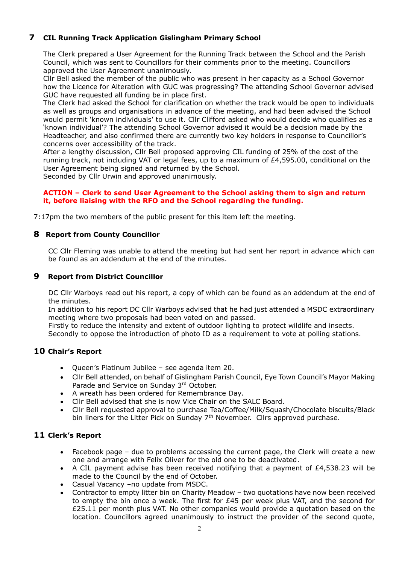# **7 CIL Running Track Application Gislingham Primary School**

The Clerk prepared a User Agreement for the Running Track between the School and the Parish Council, which was sent to Councillors for their comments prior to the meeting. Councillors approved the User Agreement unanimously.

Cllr Bell asked the member of the public who was present in her capacity as a School Governor how the Licence for Alteration with GUC was progressing? The attending School Governor advised GUC have requested all funding be in place first.

The Clerk had asked the School for clarification on whether the track would be open to individuals as well as groups and organisations in advance of the meeting, and had been advised the School would permit 'known individuals' to use it. Cllr Clifford asked who would decide who qualifies as a 'known individual'? The attending School Governor advised it would be a decision made by the Headteacher, and also confirmed there are currently two key holders in response to Councillor's concerns over accessibility of the track.

After a lengthy discussion, Cllr Bell proposed approving CIL funding of 25% of the cost of the running track, not including VAT or legal fees, up to a maximum of £4,595.00, conditional on the User Agreement being signed and returned by the School.

Seconded by Cllr Urwin and approved unanimously.

# **ACTION – Clerk to send User Agreement to the School asking them to sign and return it, before liaising with the RFO and the School regarding the funding.**

7:17pm the two members of the public present for this item left the meeting.

# **8 Report from County Councillor**

CC Cllr Fleming was unable to attend the meeting but had sent her report in advance which can be found as an addendum at the end of the minutes.

# **9 Report from District Councillor**

DC Cllr Warboys read out his report, a copy of which can be found as an addendum at the end of the minutes.

In addition to his report DC Cllr Warboys advised that he had just attended a MSDC extraordinary meeting where two proposals had been voted on and passed.

Firstly to reduce the intensity and extent of outdoor lighting to protect wildlife and insects.

Secondly to oppose the introduction of photo ID as a requirement to vote at polling stations.

# **10 Chair's Report**

- Queen's Platinum Jubilee see agenda item 20.
- Cllr Bell attended, on behalf of Gislingham Parish Council, Eye Town Council's Mayor Making Parade and Service on Sunday 3rd October.
- A wreath has been ordered for Remembrance Day.
- Cllr Bell advised that she is now Vice Chair on the SALC Board.
- Cllr Bell requested approval to purchase Tea/Coffee/Milk/Squash/Chocolate biscuits/Black bin liners for the Litter Pick on Sunday  $7<sup>th</sup>$  November. Cllrs approved purchase.

# **11 Clerk's Report**

- Facebook page due to problems accessing the current page, the Clerk will create a new one and arrange with Felix Oliver for the old one to be deactivated.
- A CIL payment advise has been received notifying that a payment of £4,538.23 will be made to the Council by the end of October.
- Casual Vacancy –no update from MSDC.
- Contractor to empty litter bin on Charity Meadow two quotations have now been received to empty the bin once a week. The first for  $£45$  per week plus VAT, and the second for £25.11 per month plus VAT. No other companies would provide a quotation based on the location. Councillors agreed unanimously to instruct the provider of the second quote,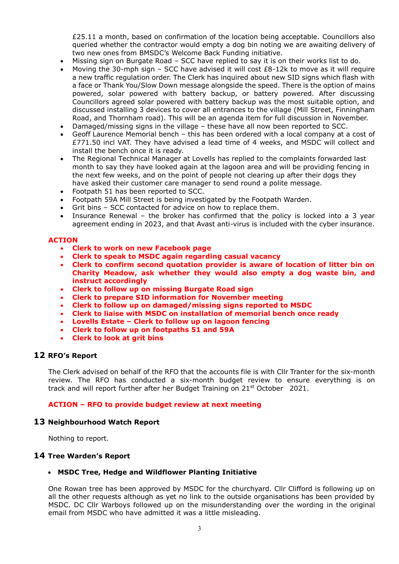£25.11 a month, based on confirmation of the location being acceptable. Councillors also queried whether the contractor would empty a dog bin noting we are awaiting delivery of two new ones from BMSDC's Welcome Back Funding initiative.

- Missing sign on Burgate Road SCC have replied to say it is on their works list to do.
- Moving the 30-mph sign  $-$  SCC have advised it will cost  $E8-12k$  to move as it will require a new traffic regulation order. The Clerk has inquired about new SID signs which flash with a face or Thank You/Slow Down message alongside the speed. There is the option of mains powered, solar powered with battery backup, or battery powered. After discussing Councillors agreed solar powered with battery backup was the most suitable option, and discussed installing 3 devices to cover all entrances to the village (Mill Street, Finningham Road, and Thornham road). This will be an agenda item for full discussion in November.
- Damaged/missing signs in the village these have all now been reported to SCC.
- Geoff Laurence Memorial bench this has been ordered with a local company at a cost of £771.50 incl VAT. They have advised a lead time of 4 weeks, and MSDC will collect and install the bench once it is ready.
- The Regional Technical Manager at Lovells has replied to the complaints forwarded last month to say they have looked again at the lagoon area and will be providing fencing in the next few weeks, and on the point of people not clearing up after their dogs they have asked their customer care manager to send round a polite message.
- Footpath 51 has been reported to SCC.
- Footpath 59A Mill Street is being investigated by the Footpath Warden.
- Grit bins SCC contacted for advice on how to replace them.
- Insurance Renewal the broker has confirmed that the policy is locked into a 3 year agreement ending in 2023, and that Avast anti-virus is included with the cyber insurance.

#### **ACTION**

- **Clerk to work on new Facebook page**
- **Clerk to speak to MSDC again regarding casual vacancy**
- **Clerk to confirm second quotation provider is aware of location of litter bin on Charity Meadow, ask whether they would also empty a dog waste bin, and instruct accordingly**
- **Clerk to follow up on missing Burgate Road sign**
- **Clerk to prepare SID information for November meeting**
- **Clerk to follow up on damaged/missing signs reported to MSDC**
- **Clerk to liaise with MSDC on installation of memorial bench once ready**
- **Lovells Estate – Clerk to follow up on lagoon fencing**
- **Clerk to follow up on footpaths 51 and 59A**
- **Clerk to look at grit bins**

#### **12 RFO's Report**

The Clerk advised on behalf of the RFO that the accounts file is with Cllr Tranter for the six-month review. The RFO has conducted a six-month budget review to ensure everything is on track and will report further after her Budget Training on 21<sup>st</sup> October 2021.

#### **ACTION – RFO to provide budget review at next meeting**

#### **13 Neighbourhood Watch Report**

Nothing to report.

#### **14 Tree Warden's Report**

#### • **MSDC Tree, Hedge and Wildflower Planting Initiative**

One Rowan tree has been approved by MSDC for the churchyard. Cllr Clifford is following up on all the other requests although as yet no link to the outside organisations has been provided by MSDC. DC Cllr Warboys followed up on the misunderstanding over the wording in the original email from MSDC who have admitted it was a little misleading.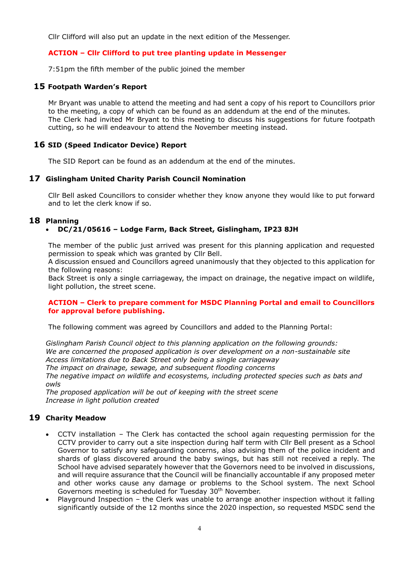Cllr Clifford will also put an update in the next edition of the Messenger.

# **ACTION – Cllr Clifford to put tree planting update in Messenger**

7:51pm the fifth member of the public joined the member

## **15 Footpath Warden's Report**

Mr Bryant was unable to attend the meeting and had sent a copy of his report to Councillors prior to the meeting, a copy of which can be found as an addendum at the end of the minutes. The Clerk had invited Mr Bryant to this meeting to discuss his suggestions for future footpath cutting, so he will endeavour to attend the November meeting instead.

# **16 SID (Speed Indicator Device) Report**

The SID Report can be found as an addendum at the end of the minutes.

## **17 Gislingham United Charity Parish Council Nomination**

Cllr Bell asked Councillors to consider whether they know anyone they would like to put forward and to let the clerk know if so.

# **18 Planning**

## • **DC/21/05616 – Lodge Farm, Back Street, Gislingham, IP23 8JH**

The member of the public just arrived was present for this planning application and requested permission to speak which was granted by Cllr Bell.

A discussion ensued and Councillors agreed unanimously that they objected to this application for the following reasons:

Back Street is only a single carriageway, the impact on drainage, the negative impact on wildlife, light pollution, the street scene.

## **ACTION – Clerk to prepare comment for MSDC Planning Portal and email to Councillors for approval before publishing.**

The following comment was agreed by Councillors and added to the Planning Portal:

*Gislingham Parish Council object to this planning application on the following grounds: We are concerned the proposed application is over development on a non-sustainable site Access limitations due to Back Street only being a single carriageway The impact on drainage, sewage, and subsequent flooding concerns*

*The negative impact on wildlife and ecosystems, including protected species such as bats and owls*

*The proposed application will be out of keeping with the street scene Increase in light pollution created*

# **19 Charity Meadow**

- CCTV installation The Clerk has contacted the school again requesting permission for the CCTV provider to carry out a site inspection during half term with Cllr Bell present as a School Governor to satisfy any safeguarding concerns, also advising them of the police incident and shards of glass discovered around the baby swings, but has still not received a reply. The School have advised separately however that the Governors need to be involved in discussions, and will require assurance that the Council will be financially accountable if any proposed meter and other works cause any damage or problems to the School system. The next School Governors meeting is scheduled for Tuesday 30<sup>th</sup> November.
- Playground Inspection the Clerk was unable to arrange another inspection without it falling significantly outside of the 12 months since the 2020 inspection, so requested MSDC send the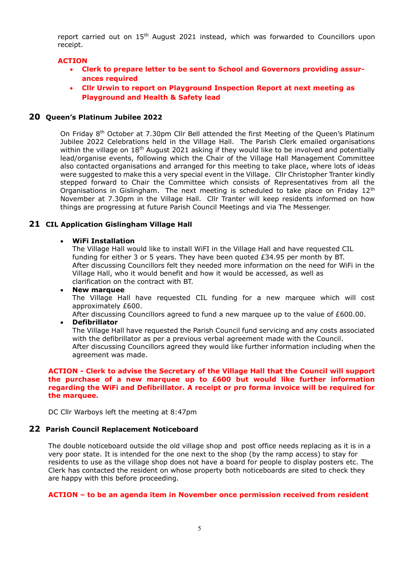report carried out on 15<sup>th</sup> August 2021 instead, which was forwarded to Councillors upon receipt.

## **ACTION**

- **Clerk to prepare letter to be sent to School and Governors providing assurances required**
- **Cllr Urwin to report on Playground Inspection Report at next meeting as Playground and Health & Safety lead**

#### **20 Queen's Platinum Jubilee 2022**

On Friday 8<sup>th</sup> October at 7.30pm Cllr Bell attended the first Meeting of the Queen's Platinum Jubilee 2022 Celebrations held in the Village Hall. The Parish Clerk emailed organisations within the village on 18<sup>th</sup> August 2021 asking if they would like to be involved and potentially lead/organise events, following which the Chair of the Village Hall Management Committee also contacted organisations and arranged for this meeting to take place, where lots of ideas were suggested to make this a very special event in the Village. Cllr Christopher Tranter kindly stepped forward to Chair the Committee which consists of Representatives from all the Organisations in Gislingham. The next meeting is scheduled to take place on Friday  $12<sup>th</sup>$ November at 7.30pm in the Village Hall. Cllr Tranter will keep residents informed on how things are progressing at future Parish Council Meetings and via The Messenger.

## **21 CIL Application Gislingham Village Hall**

#### • **WiFi Installation**

The Village Hall would like to install WiFI in the Village Hall and have requested CIL funding for either 3 or 5 years. They have been quoted  $£34.95$  per month by BT. After discussing Councillors felt they needed more information on the need for WiFi in the Village Hall, who it would benefit and how it would be accessed, as well as clarification on the contract with BT.

#### • **New marquee**

The Village Hall have requested CIL funding for a new marquee which will cost approximately £600.

After discussing Councillors agreed to fund a new marquee up to the value of £600.00.

## • **Defibrillator**

The Village Hall have requested the Parish Council fund servicing and any costs associated with the defibrillator as per a previous verbal agreement made with the Council. After discussing Councillors agreed they would like further information including when the agreement was made.

#### **ACTION - Clerk to advise the Secretary of the Village Hall that the Council will support the purchase of a new marquee up to £600 but would like further information regarding the WiFi and Defibrillator. A receipt or pro forma invoice will be required for the marquee.**

DC Cllr Warboys left the meeting at 8:47pm

#### **22 Parish Council Replacement Noticeboard**

The double noticeboard outside the old village shop and post office needs replacing as it is in a very poor state. It is intended for the one next to the shop (by the ramp access) to stay for residents to use as the village shop does not have a board for people to display posters etc. The Clerk has contacted the resident on whose property both noticeboards are sited to check they are happy with this before proceeding.

#### **ACTION – to be an agenda item in November once permission received from resident**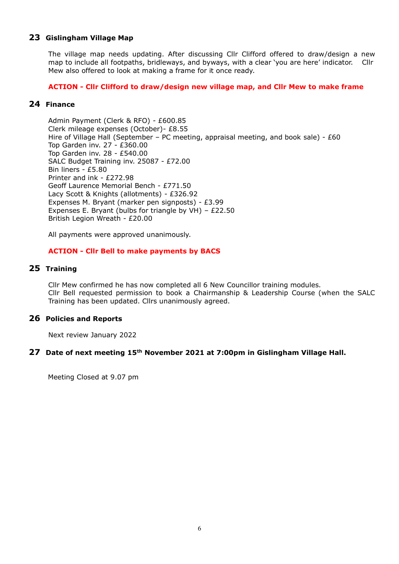# **23 Gislingham Village Map**

The village map needs updating. After discussing Cllr Clifford offered to draw/design a new map to include all footpaths, bridleways, and byways, with a clear 'you are here' indicator. Cllr Mew also offered to look at making a frame for it once ready.

## **ACTION - Cllr Clifford to draw/design new village map, and Cllr Mew to make frame**

# **24 Finance**

Admin Payment (Clerk & RFO) - £600.85 Clerk mileage expenses (October)- £8.55 Hire of Village Hall (September – PC meeting, appraisal meeting, and book sale) - £60 Top Garden inv. 27 - £360.00 Top Garden inv. 28 - £540.00 SALC Budget Training inv. 25087 - £72.00 Bin liners - £5.80 Printer and ink - £272.98 Geoff Laurence Memorial Bench - £771.50 Lacy Scott & Knights (allotments) - £326.92 Expenses M. Bryant (marker pen signposts) - £3.99 Expenses E. Bryant (bulbs for triangle by VH) – £22.50 British Legion Wreath - £20.00

All payments were approved unanimously.

## **ACTION - Cllr Bell to make payments by BACS**

## **25 Training**

Cllr Mew confirmed he has now completed all 6 New Councillor training modules. Cllr Bell requested permission to book a Chairmanship & Leadership Course (when the SALC Training has been updated. Cllrs unanimously agreed.

# **26 Policies and Reports**

Next review January 2022

#### **27 Date of next meeting 15 th November 2021 at 7:00pm in Gislingham Village Hall.**

Meeting Closed at 9.07 pm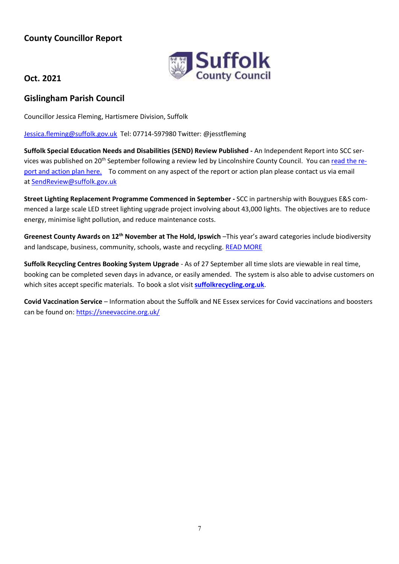# **County Councillor Report**



# **Oct. 2021**

# **Gislingham Parish Council**

Councillor Jessica Fleming, Hartismere Division, Suffolk

[Jessica.fleming@suffolk.gov.uk](mailto:Jessica.fleming@suffolk.gov.uk) Tel: 07714-597980 Twitter: @jesstfleming

**Suffolk Special Education Needs and Disabilities (SEND) Review Published -** An Independent Report into SCC services was published on 20th September following a review led by Lincolnshire County Council. You can [read the re](https://www.suffolk.gov.uk/children-families-and-learning/send-and-the-local-offer/independent-send-review-september-2021/)[port and action plan here.](https://www.suffolk.gov.uk/children-families-and-learning/send-and-the-local-offer/independent-send-review-september-2021/) To comment on any aspect of the report or action plan please contact us via email at [SendReview@suffolk.gov.uk](mailto:SendReview@suffolk.gov.uk)

**Street Lighting Replacement Programme Commenced in September -** SCC in partnership with Bouygues E&S commenced a large scale LED street lighting upgrade project involving about 43,000 lights. The objectives are to reduce energy, minimise light pollution, and reduce maintenance costs.

**Greenest County Awards on 12th November at The Hold, Ipswich** –This year's award categories include biodiversity and landscape, business, community, schools, waste and recycling. [READ MORE](https://www.greensuffolk.org/awards-categories/)

**Suffolk Recycling Centres Booking System Upgrade** - As of 27 September all time slots are viewable in real time, booking can be completed seven days in advance, or easily amended. The system is also able to advise customers on which sites accept specific materials. To book a slot visit **[suffolkrecycling.org.uk](https://suffolkrecycling.org.uk/where-to-recycle/recycling-centres)**.

**Covid Vaccination Service** – Information about the Suffolk and NE Essex services for Covid vaccinations and boosters can be found on:<https://sneevaccine.org.uk/>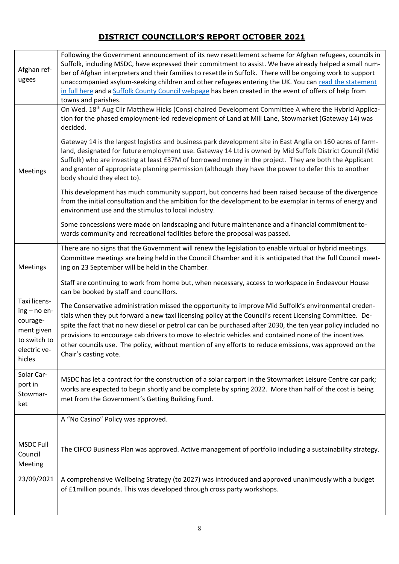# **DISTRICT COUNCILLOR'S REPORT OCTOBER 2021**

| Afghan ref-<br>ugees                                                                               | Following the Government announcement of its new resettlement scheme for Afghan refugees, councils in<br>Suffolk, including MSDC, have expressed their commitment to assist. We have already helped a small num-<br>ber of Afghan interpreters and their families to resettle in Suffolk. There will be ongoing work to support<br>unaccompanied asylum-seeking children and other refugees entering the UK. You can read the statement<br>in full here and a Suffolk County Council webpage has been created in the event of offers of help from<br>towns and parishes.       |
|----------------------------------------------------------------------------------------------------|--------------------------------------------------------------------------------------------------------------------------------------------------------------------------------------------------------------------------------------------------------------------------------------------------------------------------------------------------------------------------------------------------------------------------------------------------------------------------------------------------------------------------------------------------------------------------------|
|                                                                                                    | On Wed. 18 <sup>th</sup> Aug Cllr Matthew Hicks (Cons) chaired Development Committee A where the Hybrid Applica-<br>tion for the phased employment-led redevelopment of Land at Mill Lane, Stowmarket (Gateway 14) was<br>decided.                                                                                                                                                                                                                                                                                                                                             |
| Meetings                                                                                           | Gateway 14 is the largest logistics and business park development site in East Anglia on 160 acres of farm-<br>land, designated for future employment use. Gateway 14 Ltd is owned by Mid Suffolk District Council (Mid<br>Suffolk) who are investing at least £37M of borrowed money in the project. They are both the Applicant<br>and granter of appropriate planning permission (although they have the power to defer this to another<br>body should they elect to).                                                                                                      |
|                                                                                                    | This development has much community support, but concerns had been raised because of the divergence<br>from the initial consultation and the ambition for the development to be exemplar in terms of energy and<br>environment use and the stimulus to local industry.                                                                                                                                                                                                                                                                                                         |
|                                                                                                    | Some concessions were made on landscaping and future maintenance and a financial commitment to-<br>wards community and recreational facilities before the proposal was passed.                                                                                                                                                                                                                                                                                                                                                                                                 |
| Meetings                                                                                           | There are no signs that the Government will renew the legislation to enable virtual or hybrid meetings.<br>Committee meetings are being held in the Council Chamber and it is anticipated that the full Council meet-<br>ing on 23 September will be held in the Chamber.                                                                                                                                                                                                                                                                                                      |
|                                                                                                    | Staff are continuing to work from home but, when necessary, access to workspace in Endeavour House<br>can be booked by staff and councillors.                                                                                                                                                                                                                                                                                                                                                                                                                                  |
| Taxi licens-<br>$ing - no en-$<br>courage-<br>ment given<br>to switch to<br>electric ve-<br>hicles | The Conservative administration missed the opportunity to improve Mid Suffolk's environmental creden-<br>tials when they put forward a new taxi licensing policy at the Council's recent Licensing Committee. De-<br>spite the fact that no new diesel or petrol car can be purchased after 2030, the ten year policy included no<br>provisions to encourage cab drivers to move to electric vehicles and contained none of the incentives<br>other councils use. The policy, without mention of any efforts to reduce emissions, was approved on the<br>Chair's casting vote. |
| Solar Car-<br>port in<br>Stowmar-<br>ket                                                           | MSDC has let a contract for the construction of a solar carport in the Stowmarket Leisure Centre car park;<br>works are expected to begin shortly and be complete by spring 2022. More than half of the cost is being<br>met from the Government's Getting Building Fund.                                                                                                                                                                                                                                                                                                      |
|                                                                                                    | A "No Casino" Policy was approved.                                                                                                                                                                                                                                                                                                                                                                                                                                                                                                                                             |
| <b>MSDC Full</b><br>Council<br>Meeting                                                             | The CIFCO Business Plan was approved. Active management of portfolio including a sustainability strategy.                                                                                                                                                                                                                                                                                                                                                                                                                                                                      |
| 23/09/2021                                                                                         | A comprehensive Wellbeing Strategy (to 2027) was introduced and approved unanimously with a budget<br>of £1 million pounds. This was developed through cross party workshops.                                                                                                                                                                                                                                                                                                                                                                                                  |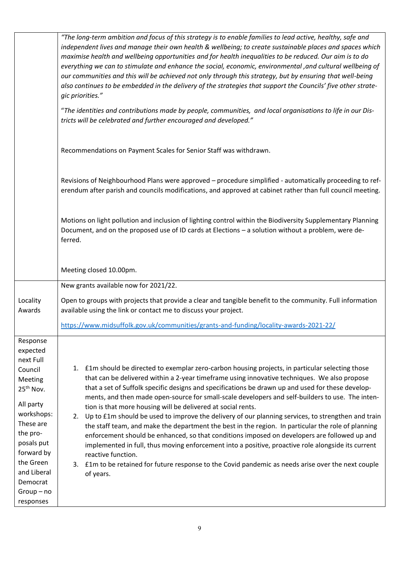|                       | "The long-term ambition and focus of this strategy is to enable families to lead active, healthy, safe and<br>independent lives and manage their own health & wellbeing; to create sustainable places and spaces which<br>maximise health and wellbeing opportunities and for health inequalities to be reduced. Our aim is to do                            |
|-----------------------|--------------------------------------------------------------------------------------------------------------------------------------------------------------------------------------------------------------------------------------------------------------------------------------------------------------------------------------------------------------|
|                       | everything we can to stimulate and enhance the social, economic, environmental , and cultural wellbeing of<br>our communities and this will be achieved not only through this strategy, but by ensuring that well-being<br>also continues to be embedded in the delivery of the strategies that support the Councils' five other strate-<br>gic priorities." |
|                       | "The identities and contributions made by people, communities, and local organisations to life in our Dis-<br>tricts will be celebrated and further encouraged and developed."                                                                                                                                                                               |
|                       | Recommendations on Payment Scales for Senior Staff was withdrawn.                                                                                                                                                                                                                                                                                            |
|                       | Revisions of Neighbourhood Plans were approved - procedure simplified - automatically proceeding to ref-<br>erendum after parish and councils modifications, and approved at cabinet rather than full council meeting.                                                                                                                                       |
|                       | Motions on light pollution and inclusion of lighting control within the Biodiversity Supplementary Planning<br>Document, and on the proposed use of ID cards at Elections - a solution without a problem, were de-<br>ferred.                                                                                                                                |
|                       | Meeting closed 10.00pm.                                                                                                                                                                                                                                                                                                                                      |
|                       | New grants available now for 2021/22.                                                                                                                                                                                                                                                                                                                        |
| Locality<br>Awards    | Open to groups with projects that provide a clear and tangible benefit to the community. Full information<br>available using the link or contact me to discuss your project.                                                                                                                                                                                 |
|                       | https://www.midsuffolk.gov.uk/communities/grants-and-funding/locality-awards-2021-22/                                                                                                                                                                                                                                                                        |
| Response<br>expected  |                                                                                                                                                                                                                                                                                                                                                              |
| next Full             |                                                                                                                                                                                                                                                                                                                                                              |
| Council               | 1. £1m should be directed to exemplar zero-carbon housing projects, in particular selecting those                                                                                                                                                                                                                                                            |
| Meeting               | that can be delivered within a 2-year timeframe using innovative techniques. We also propose                                                                                                                                                                                                                                                                 |
| 25 <sup>th</sup> Nov. | that a set of Suffolk specific designs and specifications be drawn up and used for these develop-                                                                                                                                                                                                                                                            |
| All party             | ments, and then made open-source for small-scale developers and self-builders to use. The inten-                                                                                                                                                                                                                                                             |
| workshops:            | tion is that more housing will be delivered at social rents.<br>Up to £1m should be used to improve the delivery of our planning services, to strengthen and train<br>2.                                                                                                                                                                                     |
| These are             | the staff team, and make the department the best in the region. In particular the role of planning                                                                                                                                                                                                                                                           |
| the pro-              | enforcement should be enhanced, so that conditions imposed on developers are followed up and                                                                                                                                                                                                                                                                 |
| posals put            | implemented in full, thus moving enforcement into a positive, proactive role alongside its current                                                                                                                                                                                                                                                           |
| forward by            | reactive function.                                                                                                                                                                                                                                                                                                                                           |
| the Green             | 3. £1m to be retained for future response to the Covid pandemic as needs arise over the next couple                                                                                                                                                                                                                                                          |
| and Liberal           | of years.                                                                                                                                                                                                                                                                                                                                                    |
| Democrat              |                                                                                                                                                                                                                                                                                                                                                              |
| $Group - no$          |                                                                                                                                                                                                                                                                                                                                                              |
| responses             |                                                                                                                                                                                                                                                                                                                                                              |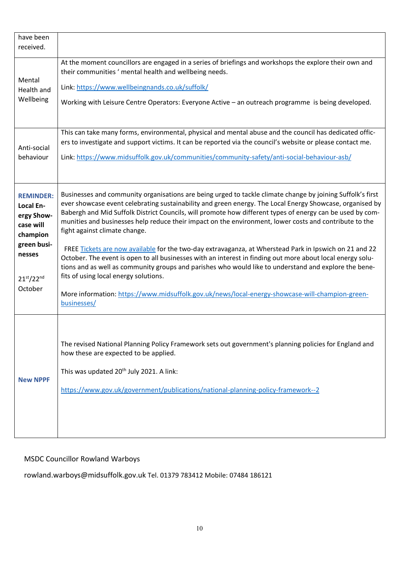| have been<br>received.                                                                                                        |                                                                                                                                                                                                                                                                                                                                                                                                                                                                                                                                                                                                                                                                                                                                                                                                                                                                                                                                                                            |
|-------------------------------------------------------------------------------------------------------------------------------|----------------------------------------------------------------------------------------------------------------------------------------------------------------------------------------------------------------------------------------------------------------------------------------------------------------------------------------------------------------------------------------------------------------------------------------------------------------------------------------------------------------------------------------------------------------------------------------------------------------------------------------------------------------------------------------------------------------------------------------------------------------------------------------------------------------------------------------------------------------------------------------------------------------------------------------------------------------------------|
| Mental<br>Health and<br>Wellbeing                                                                                             | At the moment councillors are engaged in a series of briefings and workshops the explore their own and<br>their communities ' mental health and wellbeing needs.<br>Link: https://www.wellbeingnands.co.uk/suffolk/<br>Working with Leisure Centre Operators: Everyone Active - an outreach programme is being developed.                                                                                                                                                                                                                                                                                                                                                                                                                                                                                                                                                                                                                                                  |
| Anti-social<br>behaviour                                                                                                      | This can take many forms, environmental, physical and mental abuse and the council has dedicated offic-<br>ers to investigate and support victims. It can be reported via the council's website or please contact me.<br>Link: https://www.midsuffolk.gov.uk/communities/community-safety/anti-social-behaviour-asb/                                                                                                                                                                                                                                                                                                                                                                                                                                                                                                                                                                                                                                                       |
| <b>REMINDER:</b><br>Local En-<br>ergy Show-<br>case will<br>champion<br>green busi-<br>nesses<br>$21^{st}/22^{nd}$<br>October | Businesses and community organisations are being urged to tackle climate change by joining Suffolk's first<br>ever showcase event celebrating sustainability and green energy. The Local Energy Showcase, organised by<br>Babergh and Mid Suffolk District Councils, will promote how different types of energy can be used by com-<br>munities and businesses help reduce their impact on the environment, lower costs and contribute to the<br>fight against climate change.<br>FREE Tickets are now available for the two-day extravaganza, at Wherstead Park in Ipswich on 21 and 22<br>October. The event is open to all businesses with an interest in finding out more about local energy solu-<br>tions and as well as community groups and parishes who would like to understand and explore the bene-<br>fits of using local energy solutions.<br>More information: https://www.midsuffolk.gov.uk/news/local-energy-showcase-will-champion-green-<br>businesses/ |
| <b>New NPPF</b>                                                                                                               | The revised National Planning Policy Framework sets out government's planning policies for England and<br>how these are expected to be applied.<br>This was updated 20 <sup>th</sup> July 2021. A link:<br>https://www.gov.uk/government/publications/national-planning-policy-framework--2                                                                                                                                                                                                                                                                                                                                                                                                                                                                                                                                                                                                                                                                                |

# MSDC Councillor Rowland Warboys

rowland.warboys@midsuffolk.gov.uk Tel. 01379 783412 Mobile: 07484 186121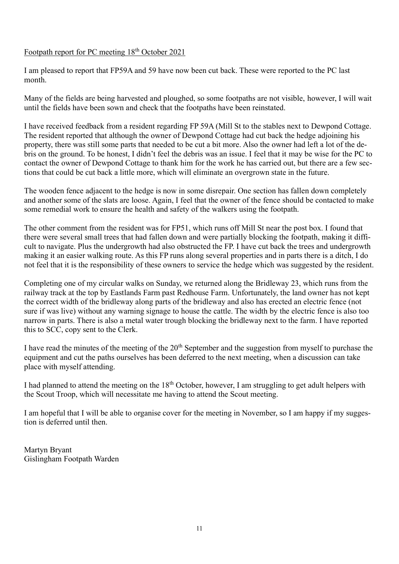# Footpath report for PC meeting 18<sup>th</sup> October 2021

I am pleased to report that FP59A and 59 have now been cut back. These were reported to the PC last month.

Many of the fields are being harvested and ploughed, so some footpaths are not visible, however, I will wait until the fields have been sown and check that the footpaths have been reinstated.

I have received feedback from a resident regarding FP 59A (Mill St to the stables next to Dewpond Cottage. The resident reported that although the owner of Dewpond Cottage had cut back the hedge adjoining his property, there was still some parts that needed to be cut a bit more. Also the owner had left a lot of the debris on the ground. To be honest, I didn't feel the debris was an issue. I feel that it may be wise for the PC to contact the owner of Dewpond Cottage to thank him for the work he has carried out, but there are a few sections that could be cut back a little more, which will eliminate an overgrown state in the future.

The wooden fence adjacent to the hedge is now in some disrepair. One section has fallen down completely and another some of the slats are loose. Again, I feel that the owner of the fence should be contacted to make some remedial work to ensure the health and safety of the walkers using the footpath.

The other comment from the resident was for FP51, which runs off Mill St near the post box. I found that there were several small trees that had fallen down and were partially blocking the footpath, making it difficult to navigate. Plus the undergrowth had also obstructed the FP. I have cut back the trees and undergrowth making it an easier walking route. As this FP runs along several properties and in parts there is a ditch, I do not feel that it is the responsibility of these owners to service the hedge which was suggested by the resident.

Completing one of my circular walks on Sunday, we returned along the Bridleway 23, which runs from the railway track at the top by Eastlands Farm past Redhouse Farm. Unfortunately, the land owner has not kept the correct width of the bridleway along parts of the bridleway and also has erected an electric fence (not sure if was live) without any warning signage to house the cattle. The width by the electric fence is also too narrow in parts. There is also a metal water trough blocking the bridleway next to the farm. I have reported this to SCC, copy sent to the Clerk.

I have read the minutes of the meeting of the  $20<sup>th</sup>$  September and the suggestion from myself to purchase the equipment and cut the paths ourselves has been deferred to the next meeting, when a discussion can take place with myself attending.

I had planned to attend the meeting on the  $18<sup>th</sup>$  October, however, I am struggling to get adult helpers with the Scout Troop, which will necessitate me having to attend the Scout meeting.

I am hopeful that I will be able to organise cover for the meeting in November, so I am happy if my suggestion is deferred until then.

Martyn Bryant Gislingham Footpath Warden